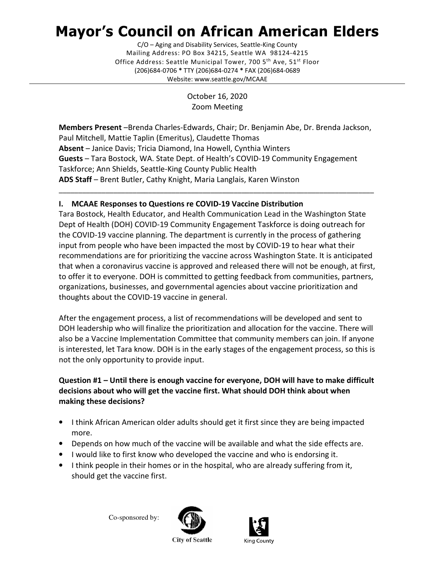# Mayor's Council on African American Elders

 Mailing Address: PO Box 34215, Seattle WA 98124-4215 Office Address: Seattle Municipal Tower, 700 5<sup>th</sup> Ave, 51<sup>st</sup> Floor (206)684-0706 \* TTY (206)684-0274 \* FAX (206)684-0689 C/O – Aging and Disability Services, Seattle-King County Website: <www.seattle.gov/MCAAE>

> October 16, 2020 Zoom Meeting

 Members Present –Brenda Charles-Edwards, Chair; Dr. Benjamin Abe, Dr. Brenda Jackson, Paul Mitchell, Mattie Taplin (Emeritus), Claudette Thomas Absent - Janice Davis; Tricia Diamond, Ina Howell, Cynthia Winters Guests - Tara Bostock, WA. State Dept. of Health's COVID-19 Community Engagement Taskforce; Ann Shields, Seattle-King County Public Health ADS Staff - Brent Butler, Cathy Knight, Maria Langlais, Karen Winston

\_\_\_\_\_\_\_\_\_\_\_\_\_\_\_\_\_\_\_\_\_\_\_\_\_\_\_\_\_\_\_\_\_\_\_\_\_\_\_\_\_\_\_\_\_\_\_\_\_\_\_\_\_\_\_\_\_\_\_\_\_\_\_\_\_\_\_\_\_\_\_\_\_\_\_\_\_\_\_\_\_

# I. MCAAE Responses to Questions re COVID-19 Vaccine Distribution

 Tara Bostock, Health Educator, and Health Communication Lead in the Washington State Dept of Health (DOH) COVID-19 Community Engagement Taskforce is doing outreach for the COVID-19 vaccine planning. The department is currently in the process of gathering input from people who have been impacted the most by COVID-19 to hear what their recommendations are for prioritizing the vaccine across Washington State. It is anticipated that when a coronavirus vaccine is approved and released there will not be enough, at first, to offer it to everyone. DOH is committed to getting feedback from communities, partners, organizations, businesses, and governmental agencies about vaccine prioritization and thoughts about the COVID-19 vaccine in general.

 After the engagement process, a list of recommendations will be developed and sent to DOH leadership who will finalize the prioritization and allocation for the vaccine. There will also be a Vaccine Implementation Committee that community members can join. If anyone is interested, let Tara know. DOH is in the early stages of the engagement process, so this is not the only opportunity to provide input.

# Question #1 – Until there is enough vaccine for everyone, DOH will have to make difficult decisions about who will get the vaccine first. What should DOH think about when making these decisions?

- • I think African American older adults should get it first since they are being impacted more.
- Depends on how much of the vaccine will be available and what the side effects are.
- I would like to first know who developed the vaccine and who is endorsing it.
- • I think people in their homes or in the hospital, who are already suffering from it, should get the vaccine first.

Co-sponsored by:





**City of Seattle**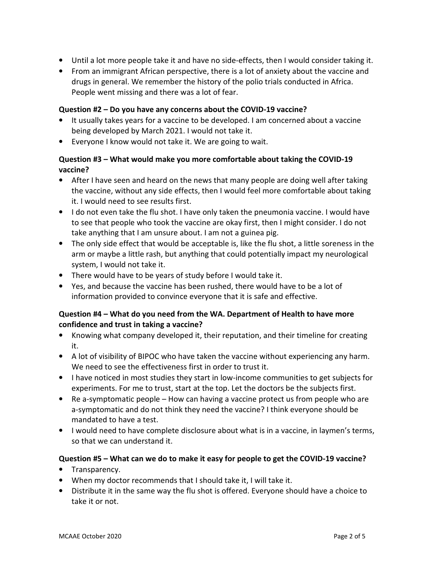- Until a lot more people take it and have no side-effects, then I would consider taking it.
- • From an immigrant African perspective, there is a lot of anxiety about the vaccine and drugs in general. We remember the history of the polio trials conducted in Africa. People went missing and there was a lot of fear.

#### Question #2 – Do you have any concerns about the COVID-19 vaccine?

- • It usually takes years for a vaccine to be developed. I am concerned about a vaccine being developed by March 2021. I would not take it.
- Everyone I know would not take it. We are going to wait.

# Question #3 – What would make you more comfortable about taking the COVID-19 vaccine?

- • After I have seen and heard on the news that many people are doing well after taking the vaccine, without any side effects, then I would feel more comfortable about taking it. I would need to see results first.
- • I do not even take the flu shot. I have only taken the pneumonia vaccine. I would have to see that people who took the vaccine are okay first, then I might consider. I do not take anything that I am unsure about. I am not a guinea pig.
- • The only side effect that would be acceptable is, like the flu shot, a little soreness in the arm or maybe a little rash, but anything that could potentially impact my neurological system, I would not take it.
- There would have to be years of study before I would take it.
- • Yes, and because the vaccine has been rushed, there would have to be a lot of information provided to convince everyone that it is safe and effective.

# Question #4 – What do you need from the WA. Department of Health to have more confidence and trust in taking a vaccine?

- • Knowing what company developed it, their reputation, and their timeline for creating it.
- • A lot of visibility of BIPOC who have taken the vaccine without experiencing any harm. We need to see the effectiveness first in order to trust it.
- • I have noticed in most studies they start in low-income communities to get subjects for experiments. For me to trust, start at the top. Let the doctors be the subjects first.
- • Re a-symptomatic people How can having a vaccine protect us from people who are a-symptomatic and do not think they need the vaccine? I think everyone should be mandated to have a test.
- • I would need to have complete disclosure about what is in a vaccine, in laymen's terms, so that we can understand it.

## Question #5 – What can we do to make it easy for people to get the COVID-19 vaccine?

- Transparency.
- When my doctor recommends that I should take it, I will take it.
- • Distribute it in the same way the flu shot is offered. Everyone should have a choice to take it or not.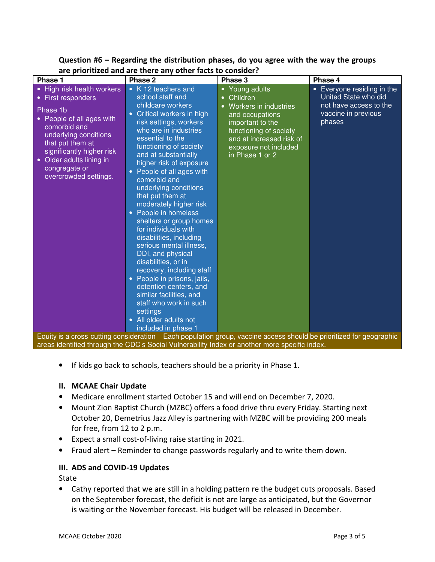| are prioritized and are there any other lacts to consider:                                                                                                                                                                                            |                                                                                                                                                                                                                                                                                                                                                                                                                                                                                                                                                                                                                                                                                                                                                                                                                                                                                    |                                                                                                                                                                                                           |                                                                                                                          |
|-------------------------------------------------------------------------------------------------------------------------------------------------------------------------------------------------------------------------------------------------------|------------------------------------------------------------------------------------------------------------------------------------------------------------------------------------------------------------------------------------------------------------------------------------------------------------------------------------------------------------------------------------------------------------------------------------------------------------------------------------------------------------------------------------------------------------------------------------------------------------------------------------------------------------------------------------------------------------------------------------------------------------------------------------------------------------------------------------------------------------------------------------|-----------------------------------------------------------------------------------------------------------------------------------------------------------------------------------------------------------|--------------------------------------------------------------------------------------------------------------------------|
| Phase 1                                                                                                                                                                                                                                               | Phase 2                                                                                                                                                                                                                                                                                                                                                                                                                                                                                                                                                                                                                                                                                                                                                                                                                                                                            | Phase 3                                                                                                                                                                                                   | Phase 4                                                                                                                  |
| • High risk health workers<br>• First responders<br>Phase 1b<br>People of all ages with<br>comorbid and<br>underlying conditions<br>that put them at<br>significantly higher risk<br>Older adults lining in<br>congregate or<br>overcrowded settings. | • K 12 teachers and<br>school staff and<br>childcare workers<br>Critical workers in high<br>risk settings, workers<br>who are in industries<br>essential to the<br>functioning of society<br>and at substantially<br>higher risk of exposure<br>People of all ages with<br>comorbid and<br>underlying conditions<br>that put them at<br>moderately higher risk<br>People in homeless<br>$\bullet$<br>shelters or group homes<br>for individuals with<br>disabilities, including<br>serious mental illness,<br>DDI, and physical<br>disabilities, or in<br>recovery, including staff<br>• People in prisons, jails,<br>detention centers, and<br>similar facilities, and<br>staff who work in such<br>settings<br>All older adults not<br>included in phase 1<br>Equity is a cross cutting consideration Each population group, vaccine access should be prioritized for geographic | • Young adults<br>Children<br>Workers in industries<br>$\bullet$<br>and occupations<br>important to the<br>functioning of society<br>and at increased risk of<br>exposure not included<br>in Phase 1 or 2 | Everyone residing in the<br>$\bullet$<br>United State who did<br>not have access to the<br>vaccine in previous<br>phases |
| areas identified through the CDC s Social Vulnerability Index or another more specific index.                                                                                                                                                         |                                                                                                                                                                                                                                                                                                                                                                                                                                                                                                                                                                                                                                                                                                                                                                                                                                                                                    |                                                                                                                                                                                                           |                                                                                                                          |

# Question #6 – Regarding the distribution phases, do you agree with the way the groups are prioritized and are there any other facts to consider?

• If kids go back to schools, teachers should be a priority in Phase 1.

#### II. MCAAE Chair Update

- Medicare enrollment started October 15 and will end on December 7, 2020.
- • Mount Zion Baptist Church (MZBC) offers a food drive thru every Friday. Starting next October 20, Demetrius Jazz Alley is partnering with MZBC will be providing 200 meals for free, from 12 to 2 p.m.
- Expect a small cost-of-living raise starting in 2021.
- Fraud alert Reminder to change passwords regularly and to write them down.

## III. ADS and COVID-19 Updates

State

 • Cathy reported that we are still in a holding pattern re the budget cuts proposals. Based on the September forecast, the deficit is not are large as anticipated, but the Governor is waiting or the November forecast. His budget will be released in December.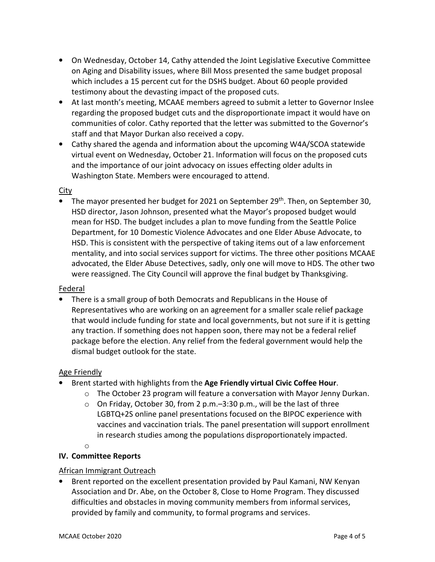- • On Wednesday, October 14, Cathy attended the Joint Legislative Executive Committee on Aging and Disability issues, where Bill Moss presented the same budget proposal which includes a 15 percent cut for the DSHS budget. About 60 people provided testimony about the devasting impact of the proposed cuts.
- • At last month's meeting, MCAAE members agreed to submit a letter to Governor Inslee regarding the proposed budget cuts and the disproportionate impact it would have on communities of color. Cathy reported that the letter was submitted to the Governor's staff and that Mayor Durkan also received a copy.
- • Cathy shared the agenda and information about the upcoming W4A/SCOA statewide virtual event on Wednesday, October 21. Information will focus on the proposed cuts and the importance of our joint advocacy on issues effecting older adults in Washington State. Members were encouraged to attend.

## **City**

• The mayor presented her budget for 2021 on September 29<sup>th</sup>. Then, on September 30, HSD director, Jason Johnson, presented what the Mayor's proposed budget would mean for HSD. The budget includes a plan to move funding from the Seattle Police Department, for 10 Domestic Violence Advocates and one Elder Abuse Advocate, to HSD. This is consistent with the perspective of taking items out of a law enforcement mentality, and into social services support for victims. The three other positions MCAAE advocated, the Elder Abuse Detectives, sadly, only one will move to HDS. The other two were reassigned. The City Council will approve the final budget by Thanksgiving.

## Federal

 • There is a small group of both Democrats and Republicans in the House of Representatives who are working on an agreement for a smaller scale relief package that would include funding for state and local governments, but not sure if it is getting any traction. If something does not happen soon, there may not be a federal relief package before the election. Any relief from the federal government would help the dismal budget outlook for the state.

## Age Friendly

- Brent started with highlights from the Age Friendly virtual Civic Coffee Hour.
	- o The October 23 program will feature a conversation with Mayor Jenny Durkan.
	- o On Friday, October 30, from 2 p.m.–3:30 p.m., will be the last of three LGBTQ+2S online panel presentations focused on the BIPOC experience with vaccines and vaccination trials. The panel presentation will support enrollment in research studies among the populations disproportionately impacted.

o

#### IV. Committee Reports

## **African Immigrant Outreach**

 • Brent reported on the excellent presentation provided by Paul Kamani, NW Kenyan Association and Dr. Abe, on the October 8, Close to Home Program. They discussed difficulties and obstacles in moving community members from informal services, provided by family and community, to formal programs and services.